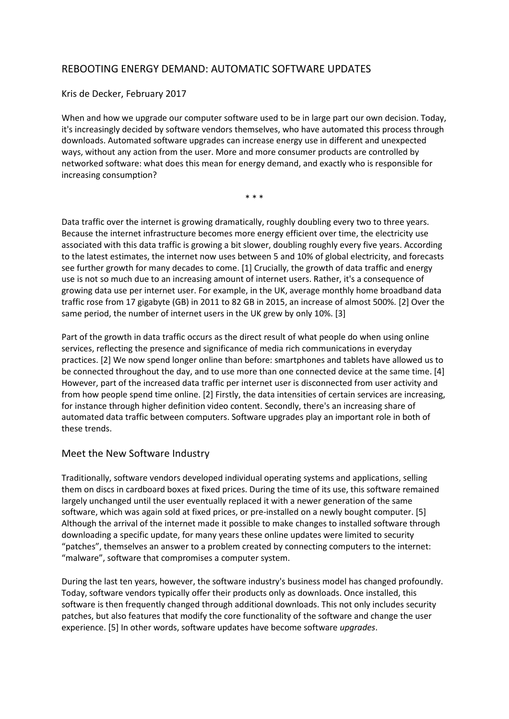# REBOOTING ENERGY DEMAND: AUTOMATIC SOFTWARE UPDATES

Kris de Decker, February 2017

When and how we upgrade our computer software used to be in large part our own decision. Today, it's increasingly decided by software vendors themselves, who have automated this process through downloads. Automated software upgrades can increase energy use in different and unexpected ways, without any action from the user. More and more consumer products are controlled by networked software: what does this mean for energy demand, and exactly who is responsible for increasing consumption?

\* \* \*

Data traffic over the internet is growing dramatically, roughly doubling every two to three years. Because the internet infrastructure becomes more energy efficient over time, the electricity use associated with this data traffic is growing a bit slower, doubling roughly every five years. According to the latest estimates, the internet now uses between 5 and 10% of global electricity, and forecasts see further growth for many decades to come. [1] Crucially, the growth of data traffic and energy use is not so much due to an increasing amount of internet users. Rather, it's a consequence of growing data use per internet user. For example, in the UK, average monthly home broadband data traffic rose from 17 gigabyte (GB) in 2011 to 82 GB in 2015, an increase of almost 500%. [2] Over the same period, the number of internet users in the UK grew by only 10%. [3]

Part of the growth in data traffic occurs as the direct result of what people do when using online services, reflecting the presence and significance of media rich communications in everyday practices. [2] We now spend longer online than before: smartphones and tablets have allowed us to be connected throughout the day, and to use more than one connected device at the same time. [4] However, part of the increased data traffic per internet user is disconnected from user activity and from how people spend time online. [2] Firstly, the data intensities of certain services are increasing, for instance through higher definition video content. Secondly, there's an increasing share of automated data traffic between computers. Software upgrades play an important role in both of these trends.

#### Meet the New Software Industry

Traditionally, software vendors developed individual operating systems and applications, selling them on discs in cardboard boxes at fixed prices. During the time of its use, this software remained largely unchanged until the user eventually replaced it with a newer generation of the same software, which was again sold at fixed prices, or pre-installed on a newly bought computer. [5] Although the arrival of the internet made it possible to make changes to installed software through downloading a specific update, for many years these online updates were limited to security "patches", themselves an answer to a problem created by connecting computers to the internet: "malware", software that compromises a computer system.

During the last ten years, however, the software industry's business model has changed profoundly. Today, software vendors typically offer their products only as downloads. Once installed, this software is then frequently changed through additional downloads. This not only includes security patches, but also features that modify the core functionality of the software and change the user experience. [5] In other words, software updates have become software *upgrades*.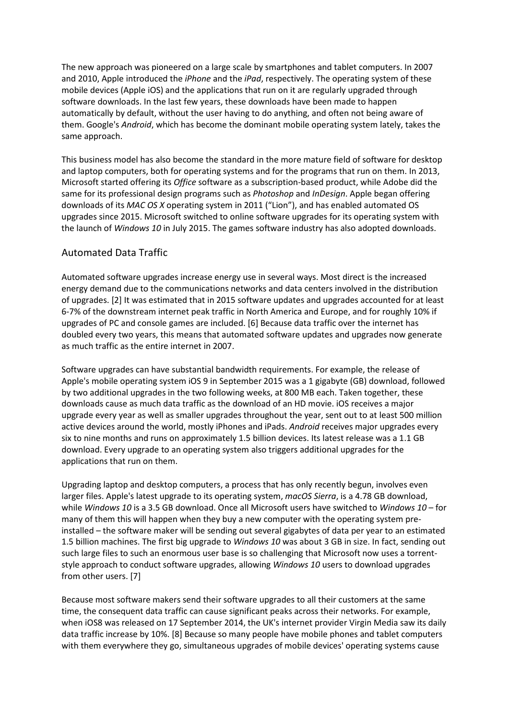The new approach was pioneered on a large scale by smartphones and tablet computers. In 2007 and 2010, Apple introduced the *iPhone* and the *iPad*, respectively. The operating system of these mobile devices (Apple iOS) and the applications that run on it are regularly upgraded through software downloads. In the last few years, these downloads have been made to happen automatically by default, without the user having to do anything, and often not being aware of them. Google's *Android*, which has become the dominant mobile operating system lately, takes the same approach.

This business model has also become the standard in the more mature field of software for desktop and laptop computers, both for operating systems and for the programs that run on them. In 2013, Microsoft started offering its *Office* software as a subscription-based product, while Adobe did the same for its professional design programs such as *Photoshop* and *InDesign*. Apple began offering downloads of its *MAC OS X* operating system in 2011 ("Lion"), and has enabled automated OS upgrades since 2015. Microsoft switched to online software upgrades for its operating system with the launch of *Windows 10* in July 2015. The games software industry has also adopted downloads.

# Automated Data Traffic

Automated software upgrades increase energy use in several ways. Most direct is the increased energy demand due to the communications networks and data centers involved in the distribution of upgrades. [2] It was estimated that in 2015 software updates and upgrades accounted for at least 6-7% of the downstream internet peak traffic in North America and Europe, and for roughly 10% if upgrades of PC and console games are included. [6] Because data traffic over the internet has doubled every two years, this means that automated software updates and upgrades now generate as much traffic as the entire internet in 2007.

Software upgrades can have substantial bandwidth requirements. For example, the release of Apple's mobile operating system iOS 9 in September 2015 was a 1 gigabyte (GB) download, followed by two additional upgrades in the two following weeks, at 800 MB each. Taken together, these downloads cause as much data traffic as the download of an HD movie. iOS receives a major upgrade every year as well as smaller upgrades throughout the year, sent out to at least 500 million active devices around the world, mostly iPhones and iPads. *Android* receives major upgrades every six to nine months and runs on approximately 1.5 billion devices. Its latest release was a 1.1 GB download. Every upgrade to an operating system also triggers additional upgrades for the applications that run on them.

Upgrading laptop and desktop computers, a process that has only recently begun, involves even larger files. Apple's latest upgrade to its operating system, *macOS Sierra*, is a 4.78 GB download, while *Windows 10* is a 3.5 GB download. Once all Microsoft users have switched to *Windows 10* – for many of them this will happen when they buy a new computer with the operating system preinstalled – the software maker will be sending out several gigabytes of data per year to an estimated 1.5 billion machines. The first big upgrade to *Windows 10* was about 3 GB in size. In fact, sending out such large files to such an enormous user base is so challenging that Microsoft now uses a torrentstyle approach to conduct software upgrades, allowing *Windows 10* users to download upgrades from other users. [7]

Because most software makers send their software upgrades to all their customers at the same time, the consequent data traffic can cause significant peaks across their networks. For example, when iOS8 was released on 17 September 2014, the UK's internet provider Virgin Media saw its daily data traffic increase by 10%. [8] Because so many people have mobile phones and tablet computers with them everywhere they go, simultaneous upgrades of mobile devices' operating systems cause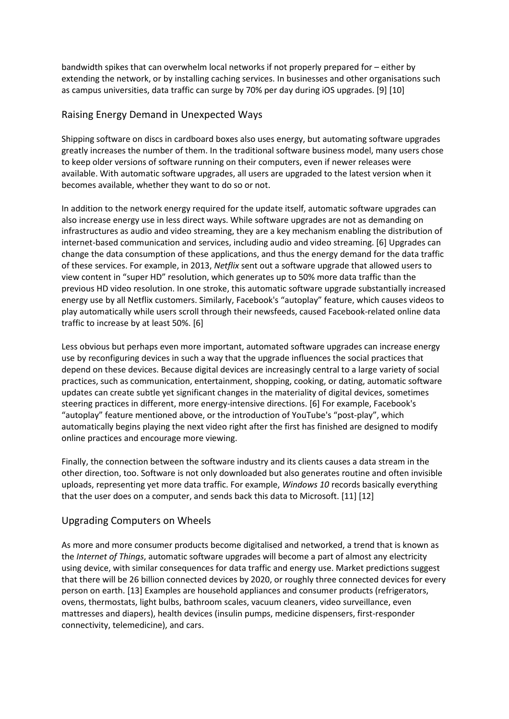bandwidth spikes that can overwhelm local networks if not properly prepared for – either by extending the network, or by installing caching services. In businesses and other organisations such as campus universities, data traffic can surge by 70% per day during iOS upgrades. [9] [10]

# Raising Energy Demand in Unexpected Ways

Shipping software on discs in cardboard boxes also uses energy, but automating software upgrades greatly increases the number of them. In the traditional software business model, many users chose to keep older versions of software running on their computers, even if newer releases were available. With automatic software upgrades, all users are upgraded to the latest version when it becomes available, whether they want to do so or not.

In addition to the network energy required for the update itself, automatic software upgrades can also increase energy use in less direct ways. While software upgrades are not as demanding on infrastructures as audio and video streaming, they are a key mechanism enabling the distribution of internet-based communication and services, including audio and video streaming. [6] Upgrades can change the data consumption of these applications, and thus the energy demand for the data traffic of these services. For example, in 2013, *Netflix* sent out a software upgrade that allowed users to view content in "super HD" resolution, which generates up to 50% more data traffic than the previous HD video resolution. In one stroke, this automatic software upgrade substantially increased energy use by all Netflix customers. Similarly, Facebook's "autoplay" feature, which causes videos to play automatically while users scroll through their newsfeeds, caused Facebook-related online data traffic to increase by at least 50%. [6]

Less obvious but perhaps even more important, automated software upgrades can increase energy use by reconfiguring devices in such a way that the upgrade influences the social practices that depend on these devices. Because digital devices are increasingly central to a large variety of social practices, such as communication, entertainment, shopping, cooking, or dating, automatic software updates can create subtle yet significant changes in the materiality of digital devices, sometimes steering practices in different, more energy-intensive directions. [6] For example, Facebook's "autoplay" feature mentioned above, or the introduction of YouTube's "post-play", which automatically begins playing the next video right after the first has finished are designed to modify online practices and encourage more viewing.

Finally, the connection between the software industry and its clients causes a data stream in the other direction, too. Software is not only downloaded but also generates routine and often invisible uploads, representing yet more data traffic. For example, *Windows 10* records basically everything that the user does on a computer, and sends back this data to Microsoft. [11] [12]

### Upgrading Computers on Wheels

As more and more consumer products become digitalised and networked, a trend that is known as the *Internet of Things*, automatic software upgrades will become a part of almost any electricity using device, with similar consequences for data traffic and energy use. Market predictions suggest that there will be 26 billion connected devices by 2020, or roughly three connected devices for every person on earth. [13] Examples are household appliances and consumer products (refrigerators, ovens, thermostats, light bulbs, bathroom scales, vacuum cleaners, video surveillance, even mattresses and diapers), health devices (insulin pumps, medicine dispensers, first-responder connectivity, telemedicine), and cars.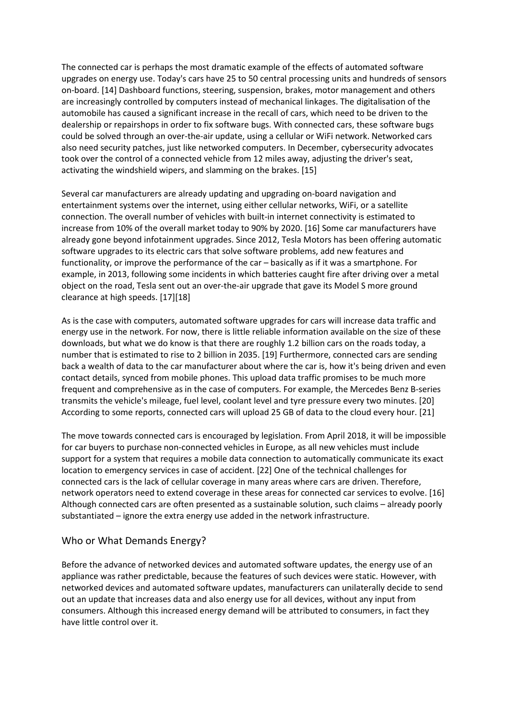The connected car is perhaps the most dramatic example of the effects of automated software upgrades on energy use. Today's cars have 25 to 50 central processing units and hundreds of sensors on-board. [14] Dashboard functions, steering, suspension, brakes, motor management and others are increasingly controlled by computers instead of mechanical linkages. The digitalisation of the automobile has caused a significant increase in the recall of cars, which need to be driven to the dealership or repairshops in order to fix software bugs. With connected cars, these software bugs could be solved through an over-the-air update, using a cellular or WiFi network. Networked cars also need security patches, just like networked computers. In December, cybersecurity advocates took over the control of a connected vehicle from 12 miles away, adjusting the driver's seat, activating the windshield wipers, and slamming on the brakes. [15]

Several car manufacturers are already updating and upgrading on-board navigation and entertainment systems over the internet, using either cellular networks, WiFi, or a satellite connection. The overall number of vehicles with built-in internet connectivity is estimated to increase from 10% of the overall market today to 90% by 2020. [16] Some car manufacturers have already gone beyond infotainment upgrades. Since 2012, Tesla Motors has been offering automatic software upgrades to its electric cars that solve software problems, add new features and functionality, or improve the performance of the car – basically as if it was a smartphone. For example, in 2013, following some incidents in which batteries caught fire after driving over a metal object on the road, Tesla sent out an over-the-air upgrade that gave its Model S more ground clearance at high speeds. [17][18]

As is the case with computers, automated software upgrades for cars will increase data traffic and energy use in the network. For now, there is little reliable information available on the size of these downloads, but what we do know is that there are roughly 1.2 billion cars on the roads today, a number that is estimated to rise to 2 billion in 2035. [19] Furthermore, connected cars are sending back a wealth of data to the car manufacturer about where the car is, how it's being driven and even contact details, synced from mobile phones. This upload data traffic promises to be much more frequent and comprehensive as in the case of computers. For example, the Mercedes Benz B-series transmits the vehicle's mileage, fuel level, coolant level and tyre pressure every two minutes. [20] According to some reports, connected cars will upload 25 GB of data to the cloud every hour. [21]

The move towards connected cars is encouraged by legislation. From April 2018, it will be impossible for car buyers to purchase non-connected vehicles in Europe, as all new vehicles must include support for a system that requires a mobile data connection to automatically communicate its exact location to emergency services in case of accident. [22] One of the technical challenges for connected cars is the lack of cellular coverage in many areas where cars are driven. Therefore, network operators need to extend coverage in these areas for connected car services to evolve. [16] Although connected cars are often presented as a sustainable solution, such claims – already poorly substantiated – ignore the extra energy use added in the network infrastructure.

#### Who or What Demands Energy?

Before the advance of networked devices and automated software updates, the energy use of an appliance was rather predictable, because the features of such devices were static. However, with networked devices and automated software updates, manufacturers can unilaterally decide to send out an update that increases data and also energy use for all devices, without any input from consumers. Although this increased energy demand will be attributed to consumers, in fact they have little control over it.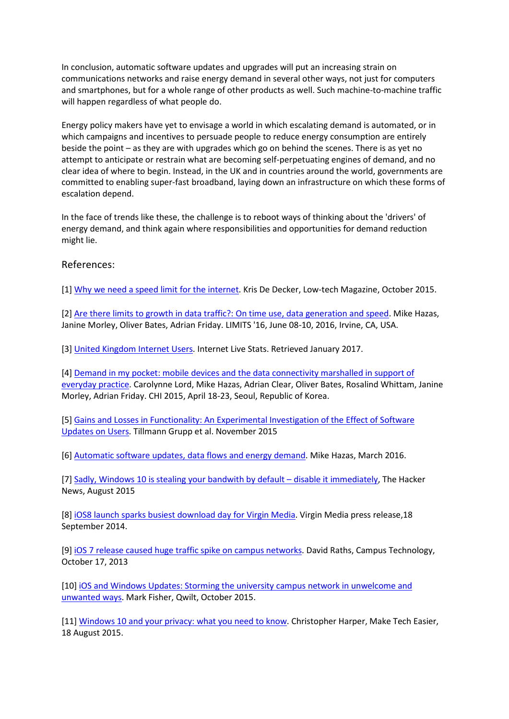In conclusion, automatic software updates and upgrades will put an increasing strain on communications networks and raise energy demand in several other ways, not just for computers and smartphones, but for a whole range of other products as well. Such machine-to-machine traffic will happen regardless of what people do.

Energy policy makers have yet to envisage a world in which escalating demand is automated, or in which campaigns and incentives to persuade people to reduce energy consumption are entirely beside the point – as they are with upgrades which go on behind the scenes. There is as yet no attempt to anticipate or restrain what are becoming self-perpetuating engines of demand, and no clear idea of where to begin. Instead, in the UK and in countries around the world, governments are committed to enabling super-fast broadband, laying down an infrastructure on which these forms of escalation depend.

In the face of trends like these, the challenge is to reboot ways of thinking about the 'drivers' of energy demand, and think again where responsibilities and opportunities for demand reduction might lie.

### References:

[1] [Why we need a speed limit for the internet.](http://www.lowtechmagazine.com/2015/10/can-the-internet-run-on-renewable-energy.html) Kris De Decker, Low-tech Magazine, October 2015.

[2] [Are there limits to growth in data traffic?:](http://limits2016.org/papers/a14-hazas.pdf) On time use, data generation and speed. Mike Hazas, Janine Morley, Oliver Bates, Adrian Friday. LIMITS '16, June 08-10, 2016, Irvine, CA, USA.

[3] [United Kingdom Internet Users.](http://www.internetlivestats.com/internet-users/uk/) Internet Live Stats. Retrieved January 2017.

[4] [Demand in my pocket: mobile devices and the data connectivity marshalled in support of](http://www.demand.ac.uk/wp-content/uploads/2016/06/Lord-Demand-in-pocket.pdf)  [everyday practice.](http://www.demand.ac.uk/wp-content/uploads/2016/06/Lord-Demand-in-pocket.pdf) Carolynne Lord, Mike Hazas, Adrian Clear, Oliver Bates, Rosalind Whittam, Janine Morley, Adrian Friday. CHI 2015, April 18-23, Seoul, Republic of Korea.

[5] [Gains and Losses in Functionality: An Experimental Investigation of the Effect of Software](https://www.researchgate.net/profile/Alexander_Benlian/publication/287968165_Gains_and_Losses_in_Functionality_-_An_Experimental_Investigation_of_the_Effect_of_Software_Updates_on_Users)  [Updates on Users.](https://www.researchgate.net/profile/Alexander_Benlian/publication/287968165_Gains_and_Losses_in_Functionality_-_An_Experimental_Investigation_of_the_Effect_of_Software_Updates_on_Users) Tillmann Grupp et al. November 2015

[6] [Automatic software updates, data flows and energy demand.](http://www.demand.ac.uk/wp-content/uploads/2016/03/DEMAND2016_Full_paper_130-Hazas.pdf) Mike Hazas, March 2016.

[7] [Sadly, Windows 10 is stealing your bandwith by default –](http://thehackernews.com/2015/08/windows-10-update.html) disable it immediately, The Hacker News, August 2015

[8] [iOS8 launch sparks busiest download day for Virgin Media.](http://www.virginmedia.com/corporate/media-centre/press-releases/ios-8-launch-sparks-busiest-download-day-for-virgin-media.html) Virgin Media press release,18 September 2014.

[9] [iOS 7 release caused huge traffic spike on campus networks.](https://campustechnology.com/articles/2013/10/17/ios-7-release-caused-huge-traffic-spike-on-campus-networks.aspx) David Raths, Campus Technology, October 17, 2013

[10[\] iOS and Windows Updates: Storming the university campus network in unwelcome and](http://qwilt.com/ios-and-windows-updates-storming-the-university-campus-network-in-welcome-and-unwanted-ways/)  [unwanted ways.](http://qwilt.com/ios-and-windows-updates-storming-the-university-campus-network-in-welcome-and-unwanted-ways/) Mark Fisher, Qwilt, October 2015.

[11[\] Windows 10 and your privacy: what you need to know.](https://www.maketecheasier.com/windows-10-privacy/) Christopher Harper, Make Tech Easier, 18 August 2015.